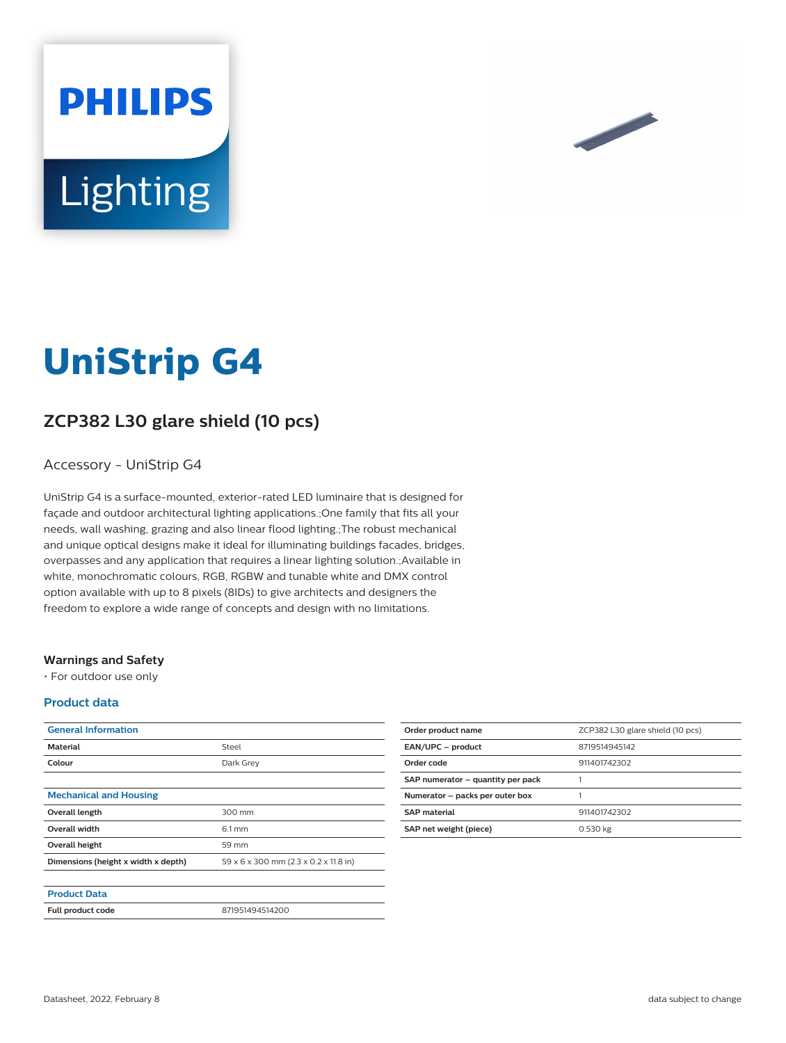



# **UniStrip G4**

# **ZCP382 L30 glare shield (10 pcs)**

### Accessory - UniStrip G4

UniStrip G4 is a surface-mounted, exterior-rated LED luminaire that is designed for façade and outdoor architectural lighting applications.;One family that fits all your needs, wall washing, grazing and also linear flood lighting.;The robust mechanical and unique optical designs make it ideal for illuminating buildings facades, bridges, overpasses and any application that requires a linear lighting solution.;Available in white, monochromatic colours, RGB, RGBW and tunable white and DMX control option available with up to 8 pixels (8IDs) to give architects and designers the freedom to explore a wide range of concepts and design with no limitations.

#### **Warnings and Safety**

• For outdoor use only

#### **Product data**

| <b>General Information</b>          |                                       |
|-------------------------------------|---------------------------------------|
| <b>Material</b>                     | Steel                                 |
| Colour                              | Dark Grey                             |
|                                     |                                       |
| <b>Mechanical and Housing</b>       |                                       |
| Overall length                      | 300 mm                                |
| <b>Overall width</b>                | $6.1 \text{ mm}$                      |
| Overall height                      | 59 mm                                 |
| Dimensions (height x width x depth) | 59 x 6 x 300 mm (2.3 x 0.2 x 11.8 in) |
|                                     |                                       |
| <b>Product Data</b>                 |                                       |
| <b>Full product code</b>            | 871951494514200                       |

| Order product name                | ZCP382 L30 glare shield (10 pcs) |
|-----------------------------------|----------------------------------|
| EAN/UPC - product                 | 8719514945142                    |
| Order code                        | 911401742302                     |
| SAP numerator - quantity per pack |                                  |
| Numerator - packs per outer box   |                                  |
| <b>SAP</b> material               | 911401742302                     |
| SAP net weight (piece)            | 0.530 kg                         |
|                                   |                                  |